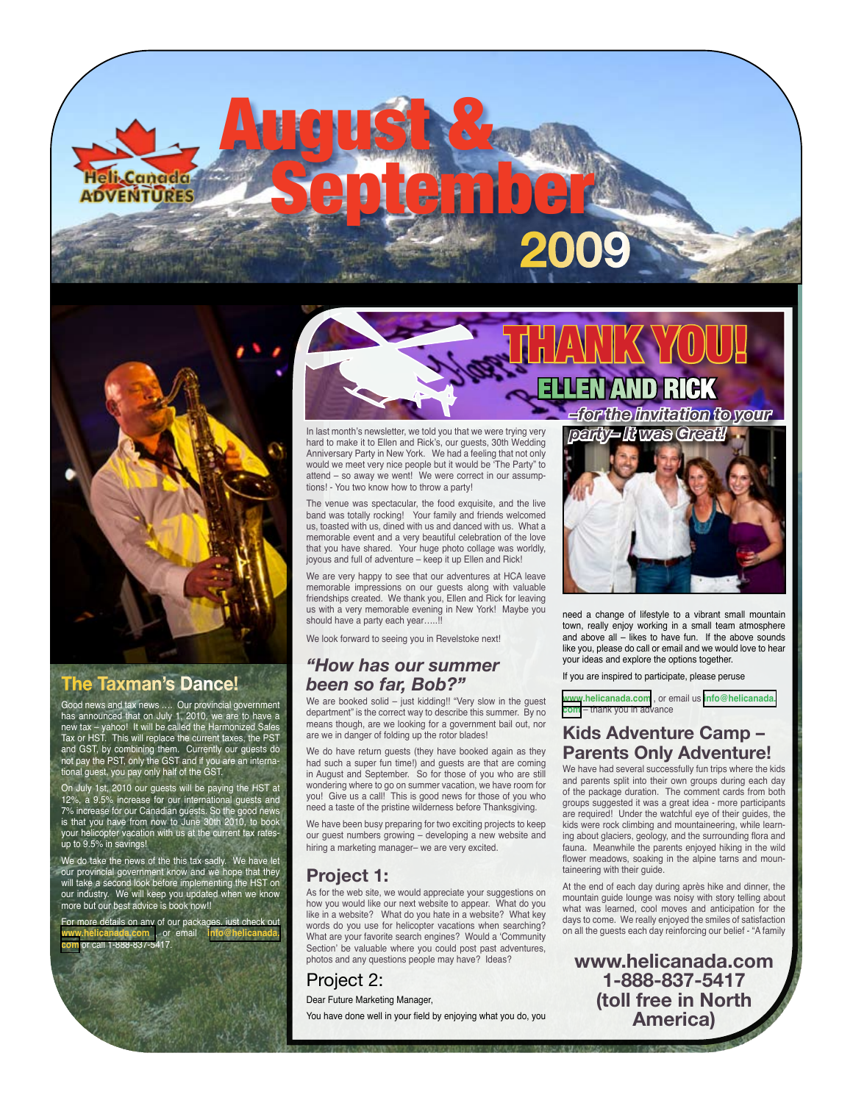# August & SeptemberMRE **2009**



# **The Taxman's Dance!**

Good news and tax news …. Our provincial government has announced that on July 1, 2010, we are to have a new tax – yahoo! It will be called the Harmonized Sales Tax or HST. This will replace the current taxes, the PST and GST, by combining them. Currently our guests do not pay the PST, only the GST and if you are an international guest, you pay only half of the GST.

On July 1st, 2010 our guests will be paying the HST at 12%, a 9.5% increase for our international guests and 7% increase for our Canadian guests. So the good news is that you have from now to June 30th 2010, to book your helicopter vacation with us at the current tax ratesup to 9.5% in savings!

We do take the news of the this tax sadly. We have let our provincial government know and we hope that they will take a second look before implementing the HST on our industry. We will keep you updated when we know more but our best advice is book now!!

For more details on any of our packages, just check out<br>www.helicanada.com ... or email ... info@helicanada. **<www.helicanada.com>** , or email **i[nfo@helicanada.](mailto:info@helicanada.com) [com](mailto:info@helicanada.com)** or call 1-888-837-5417.





In last month's newsletter, we told you that we were trying very hard to make it to Ellen and Rick's, our guests, 30th Wedding Anniversary Party in New York. We had a feeling that not only would we meet very nice people but it would be 'The Party" to attend – so away we went! We were correct in our assumptions! - You two know how to throw a party!

The venue was spectacular, the food exquisite, and the live band was totally rocking! Your family and friends welcomed us, toasted with us, dined with us and danced with us. What a memorable event and a very beautiful celebration of the love that you have shared. Your huge photo collage was worldly, joyous and full of adventure – keep it up Ellen and Rick!

We are very happy to see that our adventures at HCA leave memorable impressions on our guests along with valuable friendships created. We thank you, Ellen and Rick for leaving us with a very memorable evening in New York! Maybe you should have a party each year…..!!

We look forward to seeing you in Revelstoke next!

# *"How has our summer been so far, Bob?"*

We are booked solid – just kidding!! "Very slow in the guest department" is the correct way to describe this summer. By no means though, are we looking for a government bail out, nor are we in danger of folding up the rotor blades!

We do have return guests (they have booked again as they had such a super fun time!) and guests are that are coming in August and September. So for those of you who are still wondering where to go on summer vacation, we have room for you! Give us a call! This is good news for those of you who need a taste of the pristine wilderness before Thanksgiving.

We have been busy preparing for two exciting projects to keep our guest numbers growing – developing a new website and hiring a marketing manager– we are very excited.

# **Project 1:**

As for the web site, we would appreciate your suggestions on how you would like our next website to appear. What do you like in a website? What do you hate in a website? What key words do you use for helicopter vacations when searching? What are your favorite search engines? Would a 'Community Section' be valuable where you could post past adventures, photos and any questions people may have? Ideas?

# Project 2:

Dear Future Marketing Manager,

You have done well in your field by enjoying what you do, you

*party– It was Great!*



need a change of lifestyle to a vibrant small mountain town, really enjoy working in a small team atmosphere and above all – likes to have fun. If the above sounds like you, please do call or email and we would love to hear your ideas and explore the options together.

If you are inspired to participate, please peruse

**<www.helicanada.com>** , or email us **[info@helicanada.](mailto:info@helicanada.com) [com](mailto:info@helicanada.com)** – thank you in advance

# **Kids Adventure Camp – Parents Only Adventure!**

We have had several successfully fun trips where the kids and parents split into their own groups during each day of the package duration. The comment cards from both groups suggested it was a great idea - more participants are required! Under the watchful eye of their guides, the kids were rock climbing and mountaineering, while learning about glaciers, geology, and the surrounding flora and fauna. Meanwhile the parents enjoyed hiking in the wild flower meadows, soaking in the alpine tarns and mountaineering with their guide.

At the end of each day during après hike and dinner, the mountain guide lounge was noisy with story telling about what was learned, cool moves and anticipation for the days to come. We really enjoyed the smiles of satisfaction on all the guests each day reinforcing our belief - "A family

**www.helicanada.com 1-888-837-5417 (toll free in North America)**